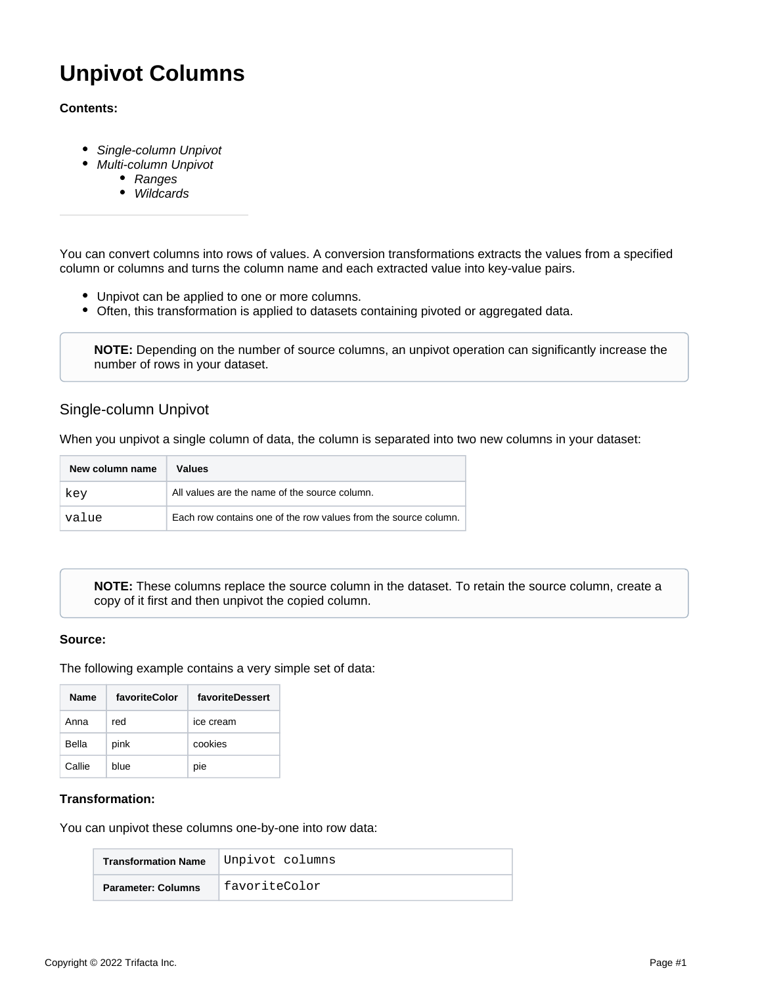# **Unpivot Columns**

### **Contents:**

- [Single-column Unpivot](#page-0-0)
- [Multi-column Unpivot](#page-1-0)
	- [Ranges](#page-2-0)
	- **[Wildcards](#page-2-1)**

You can convert columns into rows of values. A conversion transformations extracts the values from a specified column or columns and turns the column name and each extracted value into key-value pairs.

- Unpivot can be applied to one or more columns.
- Often, this transformation is applied to datasets containing pivoted or aggregated data.

**NOTE:** Depending on the number of source columns, an unpivot operation can significantly increase the number of rows in your dataset.

## <span id="page-0-0"></span>Single-column Unpivot

When you unpivot a single column of data, the column is separated into two new columns in your dataset:

| New column name | Values                                                          |
|-----------------|-----------------------------------------------------------------|
| key             | All values are the name of the source column.                   |
| value           | Each row contains one of the row values from the source column. |

**NOTE:** These columns replace the source column in the dataset. To retain the source column, create a copy of it first and then unpivot the copied column.

#### **Source:**

The following example contains a very simple set of data:

| <b>Name</b> | favoriteColor | favoriteDessert |
|-------------|---------------|-----------------|
| Anna        | red           | ice cream       |
| Bella       | pink          | cookies         |
| Callie      | blue          | pie             |

### **Transformation:**

You can unpivot these columns one-by-one into row data:

| <b>Transformation Name</b> | Unpivot columns |
|----------------------------|-----------------|
| <b>Parameter: Columns</b>  | favoriteColor   |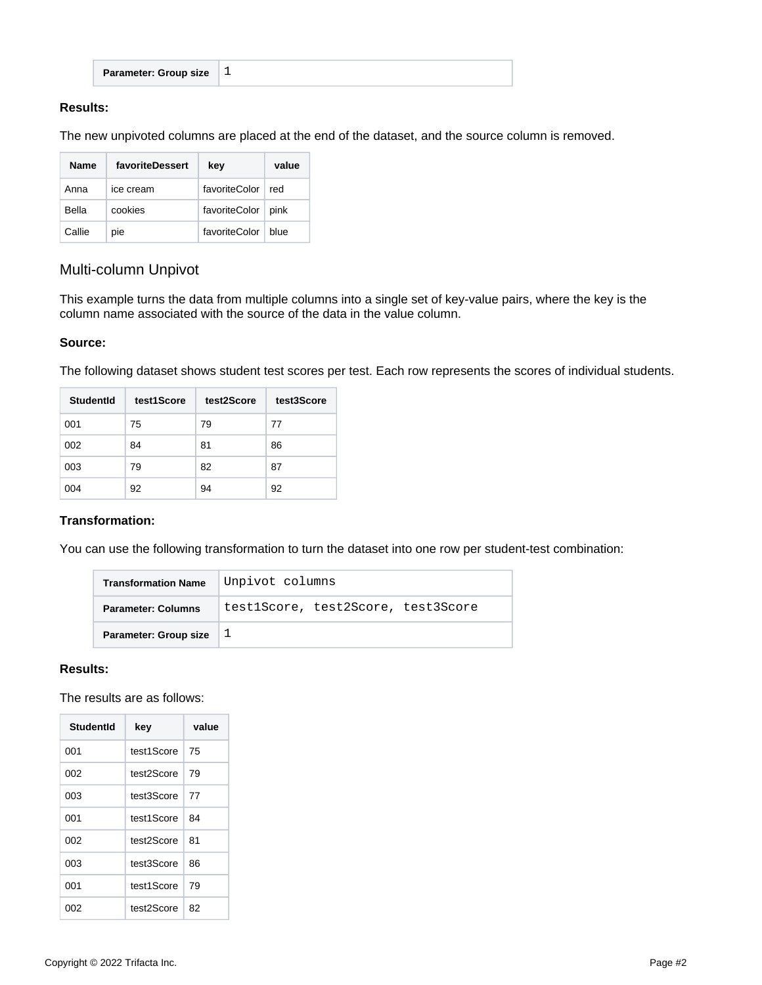| I ± | <b>Parameter: Group size</b> |
|-----|------------------------------|
|-----|------------------------------|

### **Results:**

The new unpivoted columns are placed at the end of the dataset, and the source column is removed.

| <b>Name</b> | favoriteDessert | kev           | value |
|-------------|-----------------|---------------|-------|
| Anna        | ice cream       | favoriteColor | red   |
| Bella       | cookies         | favoriteColor | pink  |
| Callie      | pie             | favoriteColor | blue  |

# <span id="page-1-0"></span>Multi-column Unpivot

This example turns the data from multiple columns into a single set of key-value pairs, where the key is the column name associated with the source of the data in the value column.

### **Source:**

The following dataset shows student test scores per test. Each row represents the scores of individual students.

| StudentId | test1Score | test2Score | test3Score |
|-----------|------------|------------|------------|
| 001       | 75         | 79         | 77         |
| 002       | 84         | 81         | 86         |
| 003       | 79         | 82         | 87         |
| 004       | 92         | 94         | 92         |

## **Transformation:**

You can use the following transformation to turn the dataset into one row per student-test combination:

| <b>Transformation Name</b>   | Unpivot columns                    |  |
|------------------------------|------------------------------------|--|
| <b>Parameter: Columns</b>    | test1Score, test2Score, test3Score |  |
| <b>Parameter: Group size</b> |                                    |  |

### **Results:**

The results are as follows:

| Studentid | key        | value |
|-----------|------------|-------|
| 001       | test1Score | 75    |
| 002       | test2Score | 79    |
| 003       | test3Score | 77    |
| 001       | test1Score | 84    |
| 002       | test2Score | 81    |
| 003       | test3Score | 86    |
| 001       | test1Score | 79    |
| 002       | test2Score | 82    |